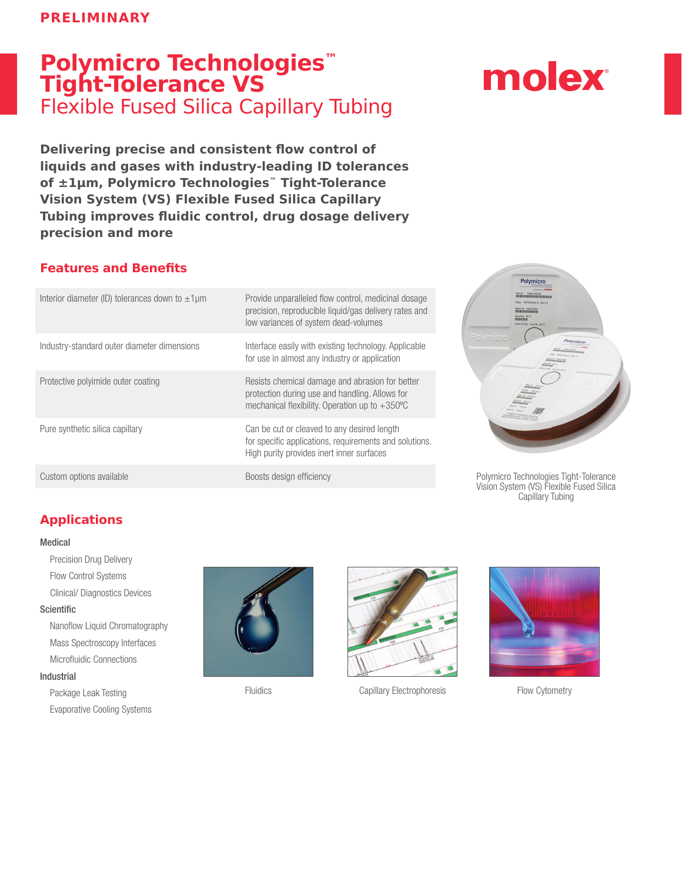# **Polymicro Technologies™ Tight-Tolerance VS**  Flexible Fused Silica Capillary Tubing

**Delivering precise and consistent flow control of liquids and gases with industry-leading ID tolerances of ±1μm, Polymicro Technologies™ Tight-Tolerance Vision System (VS) Flexible Fused Silica Capillary Tubing improves fluidic control, drug dosage delivery precision and more**

## **Features and Benefits**

| Interior diameter (ID) tolerances down to $\pm 1 \mu m$ | Provide unparalleled flow control, medicinal dosage<br>precision, reproducible liquid/gas delivery rates and<br>low variances of system dead-volumes          |
|---------------------------------------------------------|---------------------------------------------------------------------------------------------------------------------------------------------------------------|
| Industry-standard outer diameter dimensions             | Interface easily with existing technology. Applicable<br>for use in almost any industry or application                                                        |
| Protective polyimide outer coating                      | Resists chemical damage and abrasion for better<br>protection during use and handling. Allows for<br>mechanical flexibility. Operation up to $+350^{\circ}$ C |
| Pure synthetic silica capillary                         | Can be cut or cleaved to any desired length<br>for specific applications, requirements and solutions.<br>High purity provides inert inner surfaces            |
| Custom options available                                | Boosts design efficiency                                                                                                                                      |





Polymicro Technologies Tight-Tolerance Vision System (VS) Flexible Fused Silica Capillary Tubing

## **Applications**

#### Medical

Precision Drug Delivery Flow Control Systems Clinical/ Diagnostics Devices

#### **Scientific**

Nanoflow Liquid Chromatography Mass Spectroscopy Interfaces Microfluidic Connections

#### Industrial

Package Leak Testing Evaporative Cooling Systems





Fluidics Capillary Electrophoresis Flow Cytometry